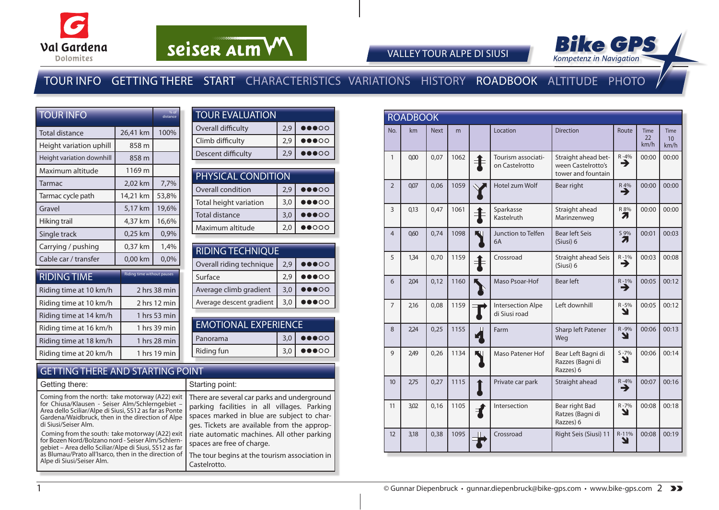



VALLEY TOUR ALPE DI SIUSI

### TOUR INFO GETTING THERE START CHARACTERISTICS VARIATIONS HISTORY ROADBOOK ALTITUDE PHOTO

| <b>TOUR INFO</b>          |                            | % of<br>distance |
|---------------------------|----------------------------|------------------|
| Total distance            | 26,41 km                   | 100%             |
| Height variation uphill   | 858 m                      |                  |
| Height variation downhill | 858 m                      |                  |
| Maximum altitude          | 1169 m                     |                  |
| Tarmac                    | 2,02 km                    | 7,7%             |
| Tarmac cycle path         | 14,21 km                   | 53,8%            |
| Gravel                    | 5,17 km                    | 19,6%            |
| Hiking trail              | 4,37 km                    | 16,6%            |
| Single track              | 0,25 km                    | 0,9%             |
| Carrying / pushing        | 0,37 km                    | 1,4%             |
| Cable car / transfer      | 0,00 km                    | 0,0%             |
| <b>RIDING TIME</b>        | Riding time without pauses |                  |
| Riding time at 10 km/h    |                            | 2 hrs 38 min     |
| Riding time at 10 km/h    |                            | 2 hrs 12 min     |
| Riding time at 14 km/h    |                            | 1 hrs 53 min     |
| Riding time at 16 km/h    |                            | 1 hrs 39 min     |
| Riding time at 18 km/h    |                            | 1 hrs 28 min     |
| Riding time at 20 km/h    |                            | 1 hrs 19 min     |

| <b>TOUR EVALUATION</b> |     |                                   |  |  |  |  |  |  |
|------------------------|-----|-----------------------------------|--|--|--|--|--|--|
| Overall difficulty     | 2.9 | $\bullet\bullet\bullet\circ\circ$ |  |  |  |  |  |  |
| Climb difficulty       | 2.9 | $\bullet\bullet\bullet\circ\circ$ |  |  |  |  |  |  |
| Descent difficulty     |     |                                   |  |  |  |  |  |  |
|                        |     |                                   |  |  |  |  |  |  |

| PHYSICAL CONDITION     |     |                                   |  |  |  |  |  |  |
|------------------------|-----|-----------------------------------|--|--|--|--|--|--|
| Overall condition      | 2.9 | $\bullet\bullet\bullet\circ\circ$ |  |  |  |  |  |  |
| Total height variation | 3,0 | $\bullet\bullet\bullet\circ\circ$ |  |  |  |  |  |  |
| <b>Total distance</b>  | 3,0 | $\bullet\bullet\bullet\circ\circ$ |  |  |  |  |  |  |
| Maximum altitude       | 2.0 | $\bullet$ 000                     |  |  |  |  |  |  |

| <b>RIDING TECHNIQUE</b> |                                   |  |  |  |  |  |  |  |
|-------------------------|-----------------------------------|--|--|--|--|--|--|--|
| 2,9                     | $\bullet\bullet\bullet\circ\circ$ |  |  |  |  |  |  |  |
| 2.9                     | $\bullet\bullet\bullet\circ\circ$ |  |  |  |  |  |  |  |
| 3,0                     | $\bullet\bullet\bullet\circ\circ$ |  |  |  |  |  |  |  |
| 3.0                     |                                   |  |  |  |  |  |  |  |
|                         |                                   |  |  |  |  |  |  |  |

| <b>EMOTIONAL EXPERIENCE</b>                           |  |                                           |  |  |  |  |  |  |
|-------------------------------------------------------|--|-------------------------------------------|--|--|--|--|--|--|
| $3,0$ $\bullet$ $\bullet$ $\circ$ $\circ$<br>Panorama |  |                                           |  |  |  |  |  |  |
| Riding fun                                            |  | $3,0$ $\bullet$ $\bullet$ $\circ$ $\circ$ |  |  |  |  |  |  |

#### GETTING THERE AND STARTING POINT

1

| Getting there:                                                                                                                                                                                                                                      | Starting point:                                                                                                                                                                         |
|-----------------------------------------------------------------------------------------------------------------------------------------------------------------------------------------------------------------------------------------------------|-----------------------------------------------------------------------------------------------------------------------------------------------------------------------------------------|
| Coming from the north: take motorway (A22) exit<br>for Chiusa/Klausen - Seiser Alm/Schlerngebiet -<br>Area dello Sciliar/Alpe di Siusi, SS12 as far as Ponte<br>Gardena/Waidbruck, then in the direction of Alpe<br>di Siusi/Seiser Alm.            | There are several car parks and underground<br>parking facilities in all villages. Parking<br>spaces marked in blue are subject to char-<br>ges. Tickets are available from the approp- |
| Coming from the south: take motorway (A22) exit<br>for Bozen Nord/Bolzano nord - Seiser Alm/Schlern-<br>gebiet – Area dello Sciliar/Alpe di Siusi, SS12 as far<br>as Blumau/Prato all'Isarco, then in the direction of<br>Alpe di Siusi/Seiser Alm. | riate automatic machines. All other parking<br>spaces are free of charge.<br>The tour begins at the tourism association in<br>Castelrotto.                                              |

|                | <b>ROADBOOK</b> |             |      |              |                                           |                                                                 |                |                           |                           |
|----------------|-----------------|-------------|------|--------------|-------------------------------------------|-----------------------------------------------------------------|----------------|---------------------------|---------------------------|
| No.            | km              | <b>Next</b> | m    |              | Location                                  | <b>Direction</b>                                                | Route          | <b>Time</b><br>22<br>km/h | <b>Time</b><br>10<br>km/h |
| $\mathbf{1}$   | 0.00            | 0.07        | 1062 |              | Tourism associati-<br>on Castelrotto      | Straight ahead bet-<br>ween Castelrotto's<br>tower and fountain | $R - 4%$<br>→  | 00:00                     | 00:00                     |
| $\overline{2}$ | 0,07            | 0,06        | 1059 |              | Hotel zum Wolf                            | Bear right                                                      | $R_{4\%}$      | 00:00                     | 00:00                     |
| 3              | 0.13            | 0.47        | 1061 |              | Sparkasse<br>Kastelruth                   | Straight ahead<br>Marinzenweg                                   | R 8%<br>7      | 00:00                     | 00:00                     |
| $\overline{4}$ | 060             | 0,74        | 1098 |              | Junction to Telfen<br>6A                  | <b>Bear left Seis</b><br>(Siusi) 6                              | S 9%<br>Л      | 00:01                     | 00:03                     |
| 5              | 1,34            | 0,70        | 1159 |              | Crossroad                                 | Straight ahead Seis<br>(Siusi) 6                                | $R - 1%$<br>→  | 00:03                     | 00:08                     |
| 6              | 2,04            | 0,12        | 1160 |              | Maso Psoar-Hof                            | <b>Bear left</b>                                                | $R - 1\%$<br>→ | 00:05                     | 00:12                     |
| $\overline{7}$ | 2,16            | 0,08        | 1159 |              | <b>Intersection Alpe</b><br>di Siusi road | Left downhill                                                   | R-5%<br>N      | 00:05                     | 00:12                     |
| 8              | 2,24            | 0,25        | 1155 | 7            | Farm                                      | Sharp left Patener<br>Weg                                       | R-9%<br>Y      | 00:06                     | 00:13                     |
| 9              | 2,49            | 0,26        | 1134 |              | <b>Maso Patener Hof</b>                   | Bear Left Bagni di<br>Razzes (Bagni di<br>Razzes) 6             | $S - 7%$<br>N  | 00:06                     | 00:14                     |
| 10             | 2.75            | 0,27        | 1115 |              | Private car park                          | Straight ahead                                                  | $R - 4%$<br>→  | 00:07                     | 00:16                     |
| 11             | 3,02            | 0,16        | 1105 | $\mathbf{f}$ | Intersection                              | Bear right Bad<br>Ratzes (Bagni di<br>Razzes) 6                 | $R - 7%$<br>N  | 00:08                     | 00:18                     |
| 12             | 3,18            | 0,38        | 1095 |              | Crossroad                                 | Right Seis (Siusi) 11                                           | R-11%<br>ע     | 00:08                     | 00:19                     |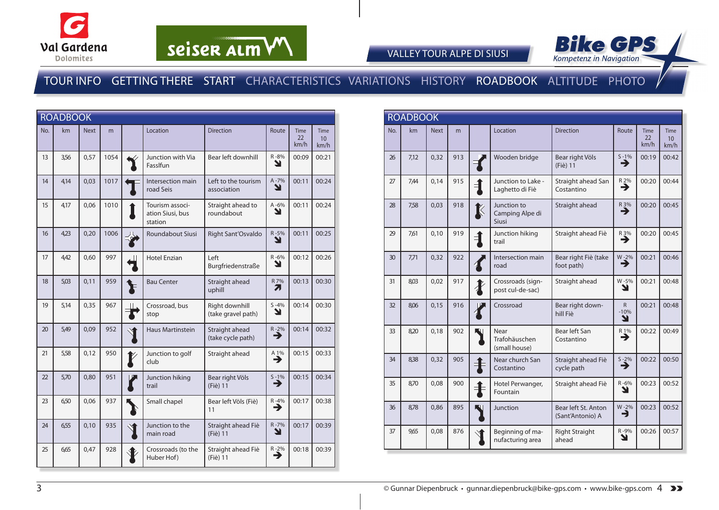



VALLEY TOUR ALPE DI SIUSI

#### TOUR INFO GETTING THERE START CHARACTERISTICS VARIATIONS HISTORY ROADBOOK ALTITUDE PHOTO

|     | <b>ROADBOOK</b> |             |      |                                                |                                      |               |                           |                                        |
|-----|-----------------|-------------|------|------------------------------------------------|--------------------------------------|---------------|---------------------------|----------------------------------------|
| No. | km              | <b>Next</b> | m    | Location                                       | <b>Direction</b>                     | Route         | <b>Time</b><br>22<br>km/h | <b>Time</b><br>10 <sup>1</sup><br>km/h |
| 13  | 3,56            | 0,57        | 1054 | Junction with Via<br>FassIfun                  | Bear left downhill                   | R-8%<br>צ     | 00:09                     | 00:21                                  |
| 14  | 4,14            | 0,03        | 1017 | Intersection main<br>road Seis                 | Left to the tourism<br>association   | A-7%<br>N     | 00:11                     | 00:24                                  |
| 15  | 4,17            | 0,06        | 1010 | Tourism associ-<br>ation Siusi, bus<br>station | Straight ahead to<br>roundabout      | A-6%<br>Y     | 00:11                     | 00:24                                  |
| 16  | 4,23            | 0,20        | 1006 | <b>Roundabout Siusi</b>                        | Right Sant'Osvaldo                   | R-5%<br>Y     | 00:11                     | 00:25                                  |
| 17  | 4.42            | 0,60        | 997  | <b>Hotel Enzian</b>                            | Left<br>Burgfriedenstraße            | R-6%<br>N     | 00:12                     | 00:26                                  |
| 18  | 5,03            | 0,11        | 959  | <b>Bau Center</b>                              | Straight ahead<br>uphill             | R 7%<br>71    | 00:13                     | 00:30                                  |
| 19  | 5,14            | 0,35        | 967  | Crossroad, bus<br>stop                         | Right downhill<br>(take gravel path) | $S - 4%$<br>N | 00:14                     | 00:30                                  |
| 20  | 5,49            | 0,09        | 952  | <b>Haus Martinstein</b>                        | Straight ahead<br>(take cycle path)  | $R - 2%$<br>⊣ | 00:14                     | 00:32                                  |
| 21  | 5,58            | 0,12        | 950  | Junction to golf<br>club                       | Straight ahead                       | 41%           | 00:15                     | 00:33                                  |
| 22  | 5,70            | 0,80        | 951  | Junction hiking<br>trail                       | Bear right Völs<br>(Fiè) 11          | $S - 1%$<br>→ | 00:15                     | 00:34                                  |
| 23  | 6,50            | 0,06        | 937  | Small chapel                                   | Bear left Völs (Fiè)<br>11           | $R - 4%$<br>→ | 00:17                     | 00:38                                  |
| 24  | 6,55            | 0,10        | 935  | Junction to the<br>main road                   | Straight ahead Fiè<br>(Fiè) 11       | R-7%<br>Y     | 00:17                     | 00:39                                  |
| 25  | 6,65            | 0,47        | 928  | Crossroads (to the<br>Huber Hof)               | Straight ahead Fiè<br>(Fiè) 11       | $R - 2%$<br>⊣ | 00:18                     | 00:39                                  |

|     | <b>ROADBOOK</b> |             |     |               |                                         |                                         |                             |                           |                                        |
|-----|-----------------|-------------|-----|---------------|-----------------------------------------|-----------------------------------------|-----------------------------|---------------------------|----------------------------------------|
| No. | km              | <b>Next</b> | m   |               | Location                                | <b>Direction</b>                        | Route                       | <b>Time</b><br>22<br>km/h | <b>Time</b><br>10 <sup>1</sup><br>km/h |
| 26  | 7,12            | 0,32        | 913 |               | Wooden bridge                           | Bear right Völs<br>(Fiè) 11             | $S - 1%$<br>→               | 00:19                     | 00:42                                  |
| 27  | 7,44            | 0.14        | 915 |               | Junction to Lake -<br>Laghetto di Fiè   | Straight ahead San<br>Costantino        | R 2%<br>→                   | 00:20                     | 00:44                                  |
| 28  | 758             | 0,03        | 918 | K             | Junction to<br>Camping Alpe di<br>Siusi | Straight ahead                          | $R_3\%$                     | 00:20                     | 00:45                                  |
| 29  | 761             | 0,10        | 919 | $\rightarrow$ | Junction hiking<br>trail                | Straight ahead Fiè                      | $R_3\%$                     | 00:20                     | 00:45                                  |
| 30  | 7,71            | 0,32        | 922 |               | Intersection main<br>road               | Bear right Fiè (take<br>foot path)      | $W-2\%$                     | 00:21                     | 00:46                                  |
| 31  | 8,03            | 0.02        | 917 |               | Crossroads (sign-<br>post cul-de-sac)   | Straight ahead                          | W-5%<br>ע                   | 00:21                     | 00:48                                  |
| 32  | 8,06            | 0,15        | 916 |               | Crossroad                               | Bear right down-<br>hill Fiè            | $\mathsf{R}$<br>$-10%$<br>Y | 00:21                     | 00:48                                  |
| 33  | 8,20            | 0,18        | 902 |               | Near<br>Trafohäuschen<br>(small house)  | Bear left San<br>Costantino             | R1%<br>→                    | 00:22                     | 00:49                                  |
| 34  | 8,38            | 0.32        | 905 |               | Near church San<br>Costantino           | Straight ahead Fiè<br>cycle path        | $\sum_{ }^{5-2\%}$          | 00:22                     | 00:50                                  |
| 35  | 8,70            | 0,08        | 900 | ╡             | Hotel Perwanger,<br>Fountain            | Straight ahead Fiè                      | $R - 6%$<br>Y               | 00:23                     | 00:52                                  |
| 36  | 8,78            | 0,86        | 895 |               | Junction                                | Bear left St. Anton<br>(Sant'Antonio) A | W-2%<br>E                   | 00:23                     | 00:52                                  |
| 37  | 965             | 0,08        | 876 |               | Beginning of ma-<br>nufacturing area    | <b>Right Straight</b><br>ahead          | R-9%<br>צ                   | 00:26                     | 00:57                                  |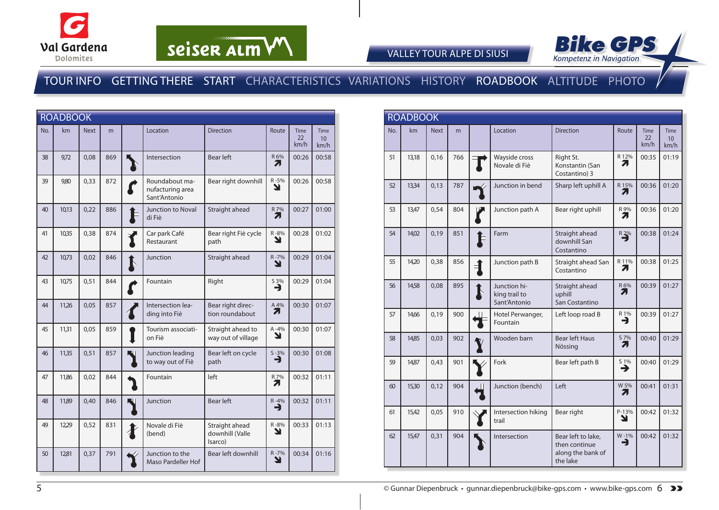



VALLEY TOUR ALPE DI SIUSI

### TOUR INFO GETTING THERE START CHARACTERISTICS VARIATIONS HISTORY ROADBOOK ALTITUDE PHOTO

|     | <b>ROADBOOK</b> |             |     |             |                                                    |                                              |                       |                    |                                        |
|-----|-----------------|-------------|-----|-------------|----------------------------------------------------|----------------------------------------------|-----------------------|--------------------|----------------------------------------|
| No. | km              | <b>Next</b> | m   |             | Location                                           | <b>Direction</b>                             | Route                 | Time<br>22<br>km/h | <b>Time</b><br>10 <sup>°</sup><br>km/h |
| 38  | 9,72            | 0,08        | 869 |             | Intersection                                       | <b>Bear left</b>                             | R 6%<br>71            | 00:26              | 00:58                                  |
| 39  | 9,80            | 0,33        | 872 |             | Roundabout ma-<br>nufacturing area<br>Sant'Antonio | Bear right downhill                          | R-5%<br>Y             | 00:26              | 00:58                                  |
| 40  | 10,13           | 0,22        | 886 |             | Junction to Noval<br>di Fiè                        | Straight ahead                               | R 7%<br>71            | 00:27              | 01:00                                  |
| 41  | 10,35           | 0,38        | 874 |             | Car park Café<br>Restaurant                        | Bear right Fiè cycle<br>path                 | R-8%<br>Y             | 00:28              | 01:02                                  |
| 42  | 10,73           | 0,02        | 846 | $\mathbf k$ | Junction                                           | Straight ahead                               | $R - 7%$<br>Ľ         | 00:29              | 01:04                                  |
| 43  | 10,75           | 0,51        | 844 |             | Fountain                                           | Right                                        | $\sum_{n=1}^{\infty}$ | 00:29              | 01:04                                  |
| 44  | 11,26           | 0,05        | 857 |             | Intersection lea-<br>ding into Fiè                 | Bear right direc-<br>tion roundabout         | A 4%<br>Л             | 00:30              | 01:07                                  |
| 45  | 11,31           | 0,05        | 859 |             | Tourism associati-<br>on Fiè                       | Straight ahead to<br>way out of village      | $A - 4%$<br>Y         | 00:30              | 01:07                                  |
| 46  | 11,35           | 0,51        | 857 |             | Junction leading<br>to way out of Fiè              | Bear left on cycle<br>path                   | $S - 3%$<br>→         | 00:30              | 01:08                                  |
| 47  | 11,86           | 0,02        | 844 |             | Fountain                                           | left                                         | R 7%<br>71            | 00:32              | 01:11                                  |
| 48  | 11,89           | 0,40        | 846 |             | Junction                                           | <b>Bear left</b>                             | $R - 4%$<br>⊣         | 00:32              | 01:11                                  |
| 49  | 12,29           | 0,52        | 831 |             | Novale di Fiè<br>(bend)                            | Straight ahead<br>downhill (Valle<br>Isarco) | R-8%<br>Y             | 00:33              | 01:13                                  |
| 50  | 1281            | 0,37        | 791 |             | Junction to the<br>Maso Pardeller Hof              | Bear left downhill                           | R-7%<br>Y             | 00:34              | 01:16                                  |

|     | <b>ROADBOOK</b> |             |     |                                               |                                                                      |                      |                           |                                         |
|-----|-----------------|-------------|-----|-----------------------------------------------|----------------------------------------------------------------------|----------------------|---------------------------|-----------------------------------------|
| No. | km              | <b>Next</b> | m   | Location                                      | <b>Direction</b>                                                     | Route                | <b>Time</b><br>22<br>km/h | <b>Time</b><br>10 <sup>10</sup><br>km/h |
| 51  | 13,18           | 0,16        | 766 | Wayside cross<br>Novale di Fiè                | Right St.<br>Konstantin (San<br>Costantino) 3                        | R 12%<br>71          | 00:35                     | 01:19                                   |
| 52  | 13,34           | 0,13        | 787 | Junction in bend                              | Sharp left uphill A                                                  | R 15%<br>71          | 00:36                     | 01:20                                   |
| 53  | 13,47           | 0,54        | 804 | Junction path A                               | Bear right uphill                                                    | R 9%<br>71           | 00:36                     | 01:20                                   |
| 54  | 14,02           | 0,19        | 851 | Farm                                          | Straight ahead<br>downhill San<br>Costantino                         | $R2\%$               | 00:38                     | 01:24                                   |
| 55  | 14,20           | 0,38        | 856 | Junction path B                               | Straight ahead San<br>Costantino                                     | R 11%<br>7.          | 00:38                     | 01:25                                   |
| 56  | 14,58           | 0,08        | 895 | Junction hi-<br>king trail to<br>Sant'Antonio | Straight ahead<br>uphill<br>San Costantino                           | R 6%<br>71           | 00:39                     | 01:27                                   |
| 57  | 14,66           | 0,19        | 900 | Hotel Perwanger,<br>Fountain                  | Left loop road B                                                     | $R_1\%$<br>⊣         | 00:39                     | 01:27                                   |
| 58  | 14,85           | 0,03        | 902 | Wooden barn                                   | <b>Bear left Haus</b><br>Nössing                                     | S 7%<br>71           | 00:40                     | 01:29                                   |
| 59  | 14,87           | 0.43        | 901 | Fork                                          | Bear left path B                                                     | $\overrightarrow{ }$ | 00:40                     | 01:29                                   |
| 60  | 15,30           | 0,12        | 904 | Junction (bench)                              | Left                                                                 | W 5%<br>71           | 00:41                     | 01:31                                   |
| 61  | 15,42           | 0,05        | 910 | Intersection hiking<br>trail                  | Bear right                                                           | $P-13%$<br>צ         | 00:42                     | 01:32                                   |
| 62  | 15,47           | 0,31        | 904 | Intersection                                  | Bear left to lake,<br>then continue<br>along the bank of<br>the lake | W-1%<br>→            | 00:42                     | 01:32                                   |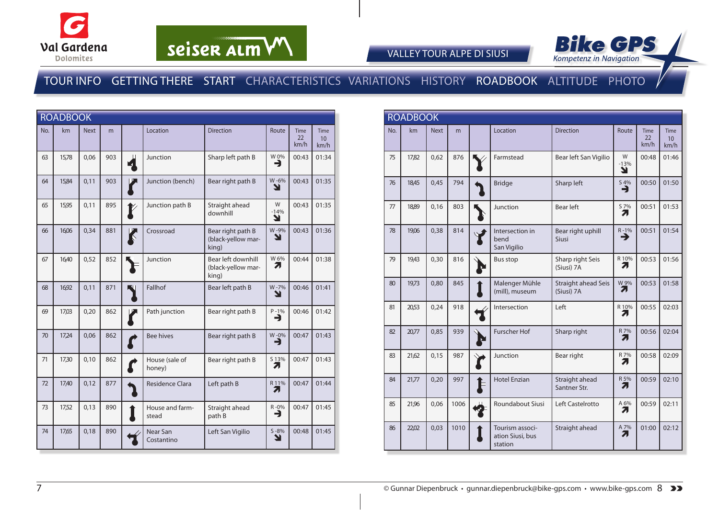



VALLEY TOUR ALPE DI SIUSI

#### TOUR INFO GETTING THERE START CHARACTERISTICS VARIATIONS HISTORY ROADBOOK ALTITUDE PHOTO

|     | <b>ROADBOOK</b> |             |     |                      |                          |                                                   |                  |                    |                           |
|-----|-----------------|-------------|-----|----------------------|--------------------------|---------------------------------------------------|------------------|--------------------|---------------------------|
| No. | km              | <b>Next</b> | m   |                      | Location                 | <b>Direction</b>                                  | Route            | Time<br>22<br>km/h | <b>Time</b><br>10<br>km/h |
| 63  | 15,78           | 0,06        | 903 |                      | Junction                 | Sharp left path B                                 | W 0%<br>∍        | 00:43              | 01:34                     |
| 64  | 15,84           | 0,11        | 903 |                      | Junction (bench)         | Bear right path B                                 | W-6%<br>ע        | 00:43              | 01:35                     |
| 65  | 15,95           | 0,11        | 895 |                      | Junction path B          | Straight ahead<br>downhill                        | W<br>$-14%$<br>Y | 00:43              | 01:35                     |
| 66  | 16,06           | 0,34        | 881 | $\boldsymbol{\zeta}$ | Crossroad                | Bear right path B<br>(black-yellow mar-<br>king)  | W-9%<br>צ        | 00:43              | 01:36                     |
| 67  | 16,40           | 0,52        | 852 |                      | Junction                 | Bear left downhill<br>(black-yellow mar-<br>king) | W6%<br>71        | 00:44              | 01:38                     |
| 68  | 16,92           | 0,11        | 871 |                      | Fallhof                  | Bear left path B                                  | W-7%<br>↘        | 00:46              | 01:41                     |
| 69  | 17,03           | 0,20        | 862 |                      | Path junction            | Bear right path B                                 | $P - 1%$<br>→    | 00:46              | 01:42                     |
| 70  | 17,24           | 0,06        | 862 |                      | <b>Bee hives</b>         | Bear right path B                                 | W-0%<br>È        | 00:47              | 01:43                     |
| 71  | 17,30           | 0,10        | 862 |                      | House (sale of<br>honey) | Bear right path B                                 | S 13%<br>7       | 00:47              | 01:43                     |
| 72  | 17,40           | 0,12        | 877 |                      | <b>Residence Clara</b>   | Left path B                                       | R 11%<br>7.      | 00:47              | 01:44                     |
| 73  | 17,52           | 0,13        | 890 |                      | House and farm-<br>stead | Straight ahead<br>path B                          | R-0%<br>⊣        | 00:47              | 01:45                     |
| 74  | 17,65           | 0,18        | 890 |                      | Near San<br>Costantino   | Left San Vigilio                                  | $S - 8%$<br>N    | 00:48              | 01:45                     |

| <b>ROADBOOK</b> |       |             |      |  |                                                |                                   |                  |                           |                                 |
|-----------------|-------|-------------|------|--|------------------------------------------------|-----------------------------------|------------------|---------------------------|---------------------------------|
| No.             | km    | <b>Next</b> | m    |  | Location                                       | <b>Direction</b>                  | Route            | <b>Time</b><br>22<br>km/h | Time<br>10 <sup>1</sup><br>km/h |
| 75              | 17,82 | 0,62        | 876  |  | Farmstead                                      | Bear left San Vigilio             | W<br>$-13%$<br>Y | 00:48                     | 01:46                           |
| 76              | 18,45 | 0,45        | 794  |  | <b>Bridge</b>                                  | Sharp left                        | S 4%<br>⊣        | 00:50                     | 01:50                           |
| 77              | 18,89 | 0.16        | 803  |  | Junction                                       | <b>Bear left</b>                  | S 7%<br>7        | 00:51                     | 01:53                           |
| 78              | 19,06 | 0,38        | 814  |  | Intersection in<br>bend<br>San Vigilio         | Bear right uphill<br>Siusi        | $R-1%$           | 00:51                     | 01:54                           |
| 79              | 19,43 | 0,30        | 816  |  | <b>Bus stop</b>                                | Sharp right Seis<br>(Siusi) 7A    | R 10%<br>71      | 00:53                     | 01:56                           |
| 80              | 19,73 | 0,80        | 845  |  | Malenger Mühle<br>(mill), museum               | Straight ahead Seis<br>(Siusi) 7A | W 9%<br>71       | 00:53                     | 01:58                           |
| 81              | 20,53 | 0,24        | 918  |  | Intersection                                   | Left                              | R 10%<br>71      | 00:55                     | 02:03                           |
| 82              | 20,77 | 0,85        | 939  |  | <b>Furscher Hof</b>                            | Sharp right                       | R 7%<br>71       | 00:56                     | 02:04                           |
| 83              | 21,62 | 0,15        | 987  |  | Junction                                       | Bear right                        | R 7%<br>71       | 00:58                     | 02:09                           |
| 84              | 21,77 | 0,20        | 997  |  | <b>Hotel Enzian</b>                            | Straight ahead<br>Santner Str.    | R 5%<br>71       | 00:59                     | 02:10                           |
| 85              | 21,96 | 0,06        | 1006 |  | Roundabout Siusi                               | Left Castelrotto                  | A 6%<br>71       | 00:59                     | 02:11                           |
| 86              | 22,02 | 0.03        | 1010 |  | Tourism associ-<br>ation Siusi, bus<br>station | Straight ahead                    | A 7%<br>7,       | 01:00                     | 02:12                           |